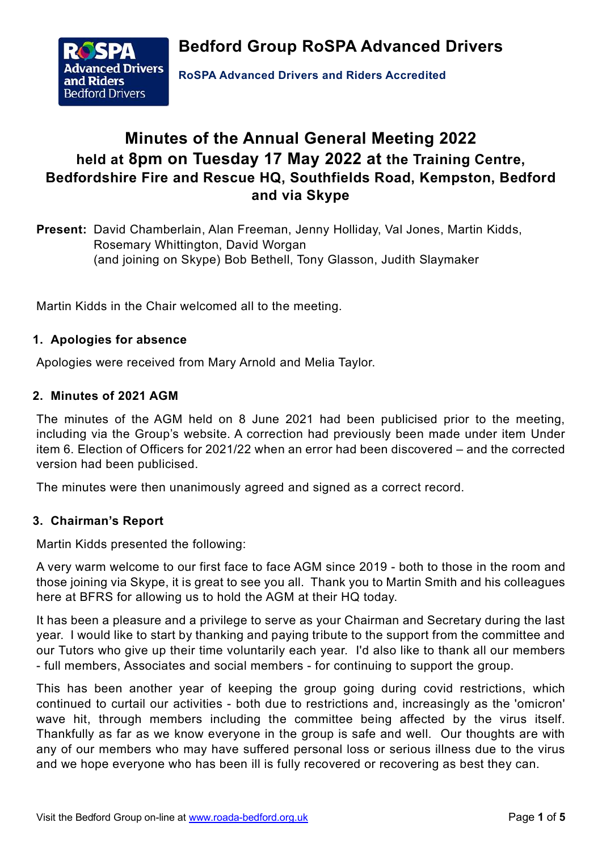**Bedford Group RoSPA Advanced Drivers**



**RoSPA Advanced Drivers and Riders Accredited**

# **Minutes of the Annual General Meeting 2022 held at 8pm on Tuesday 17 May 2022 at the Training Centre, Bedfordshire Fire and Rescue HQ, Southfields Road, Kempston, Bedford and via Skype**

**Present:** David Chamberlain, Alan Freeman, Jenny Holliday, Val Jones, Martin Kidds, Rosemary Whittington, David Worgan (and joining on Skype) Bob Bethell, Tony Glasson, Judith Slaymaker

Martin Kidds in the Chair welcomed all to the meeting.

# **1. Apologies for absence**

Apologies were received from Mary Arnold and Melia Taylor.

# **2. Minutes of 2021 AGM**

The minutes of the AGM held on 8 June 2021 had been publicised prior to the meeting, including via the Group's website. A correction had previously been made under item Under item 6. Election of Officers for 2021/22 when an error had been discovered – and the corrected version had been publicised.

The minutes were then unanimously agreed and signed as a correct record.

## **3. Chairman's Report**

Martin Kidds presented the following:

A very warm welcome to our first face to face AGM since 2019 - both to those in the room and those joining via Skype, it is great to see you all. Thank you to Martin Smith and his colleagues here at BFRS for allowing us to hold the AGM at their HQ today.

It has been a pleasure and a privilege to serve as your Chairman and Secretary during the last year. I would like to start by thanking and paying tribute to the support from the committee and our Tutors who give up their time voluntarily each year. I'd also like to thank all our members - full members, Associates and social members - for continuing to support the group.

This has been another year of keeping the group going during covid restrictions, which continued to curtail our activities - both due to restrictions and, increasingly as the 'omicron' wave hit, through members including the committee being affected by the virus itself. Thankfully as far as we know everyone in the group is safe and well. Our thoughts are with any of our members who may have suffered personal loss or serious illness due to the virus and we hope everyone who has been ill is fully recovered or recovering as best they can.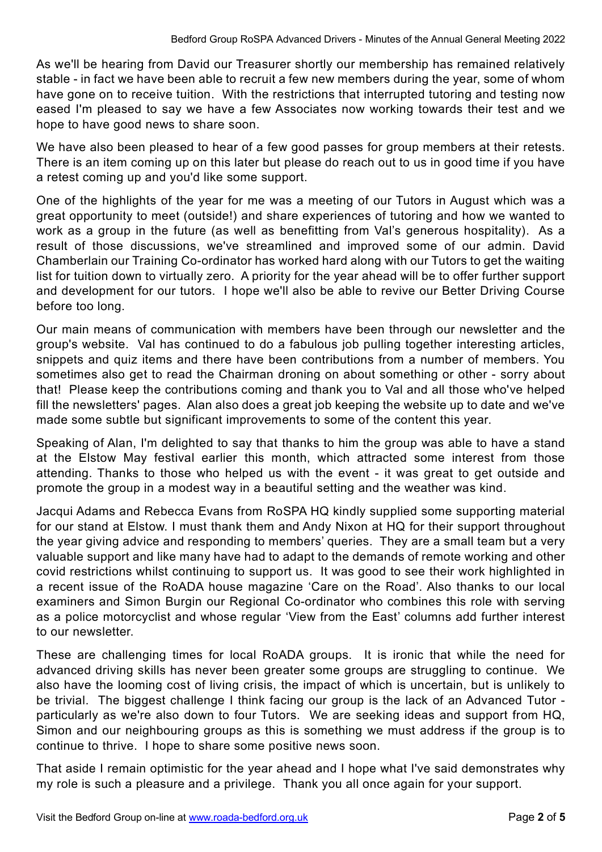As we'll be hearing from David our Treasurer shortly our membership has remained relatively stable - in fact we have been able to recruit a few new members during the year, some of whom have gone on to receive tuition. With the restrictions that interrupted tutoring and testing now eased I'm pleased to say we have a few Associates now working towards their test and we hope to have good news to share soon.

We have also been pleased to hear of a few good passes for group members at their retests. There is an item coming up on this later but please do reach out to us in good time if you have a retest coming up and you'd like some support.

One of the highlights of the year for me was a meeting of our Tutors in August which was a great opportunity to meet (outside!) and share experiences of tutoring and how we wanted to work as a group in the future (as well as benefitting from Val's generous hospitality). As a result of those discussions, we've streamlined and improved some of our admin. David Chamberlain our Training Co-ordinator has worked hard along with our Tutors to get the waiting list for tuition down to virtually zero. A priority for the year ahead will be to offer further support and development for our tutors. I hope we'll also be able to revive our Better Driving Course before too long.

Our main means of communication with members have been through our newsletter and the group's website. Val has continued to do a fabulous job pulling together interesting articles, snippets and quiz items and there have been contributions from a number of members. You sometimes also get to read the Chairman droning on about something or other - sorry about that! Please keep the contributions coming and thank you to Val and all those who've helped fill the newsletters' pages. Alan also does a great job keeping the website up to date and we've made some subtle but significant improvements to some of the content this year.

Speaking of Alan, I'm delighted to say that thanks to him the group was able to have a stand at the Elstow May festival earlier this month, which attracted some interest from those attending. Thanks to those who helped us with the event - it was great to get outside and promote the group in a modest way in a beautiful setting and the weather was kind.

Jacqui Adams and Rebecca Evans from RoSPA HQ kindly supplied some supporting material for our stand at Elstow. I must thank them and Andy Nixon at HQ for their support throughout the year giving advice and responding to members' queries. They are a small team but a very valuable support and like many have had to adapt to the demands of remote working and other covid restrictions whilst continuing to support us. It was good to see their work highlighted in a recent issue of the RoADA house magazine 'Care on the Road'. Also thanks to our local examiners and Simon Burgin our Regional Co-ordinator who combines this role with serving as a police motorcyclist and whose regular 'View from the East' columns add further interest to our newsletter.

These are challenging times for local RoADA groups. It is ironic that while the need for advanced driving skills has never been greater some groups are struggling to continue. We also have the looming cost of living crisis, the impact of which is uncertain, but is unlikely to be trivial. The biggest challenge I think facing our group is the lack of an Advanced Tutor particularly as we're also down to four Tutors. We are seeking ideas and support from HQ, Simon and our neighbouring groups as this is something we must address if the group is to continue to thrive. I hope to share some positive news soon.

That aside I remain optimistic for the year ahead and I hope what I've said demonstrates why my role is such a pleasure and a privilege. Thank you all once again for your support.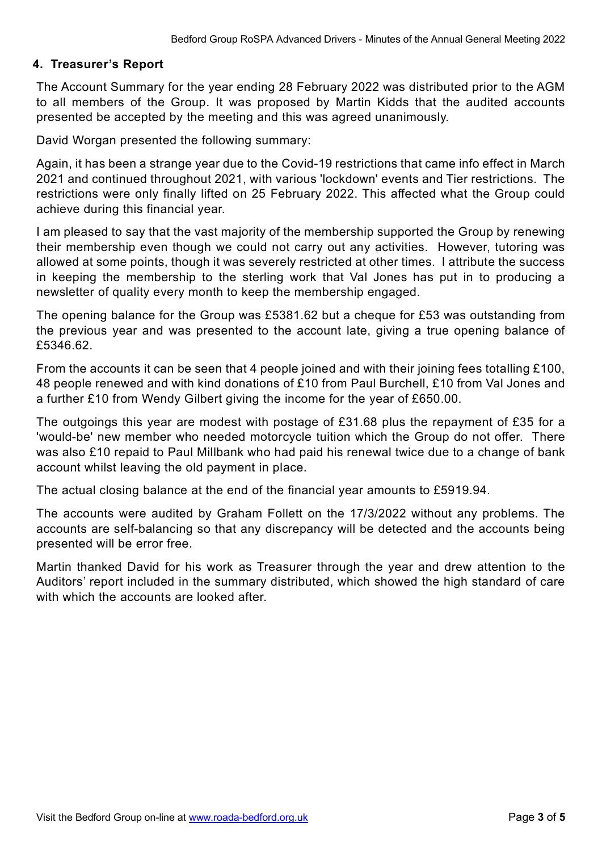## **4. Treasurer's Report**

The Account Summary for the year ending 28 February 2022 was distributed prior to the AGM to all members of the Group. It was proposed by Martin Kidds that the audited accounts presented be accepted by the meeting and this was agreed unanimously.

David Worgan presented the following summary:

Again, it has been a strange year due to the Covid-19 restrictions that came info effect in March 2021 and continued throughout 2021, with various 'lockdown' events and Tier restrictions. The restrictions were only finally lifted on 25 February 2022. This affected what the Group could achieve during this financial year.

I am pleased to say that the vast majority of the membership supported the Group by renewing their membership even though we could not carry out any activities. However, tutoring was allowed at some points, though it was severely restricted at other times. I attribute the success in keeping the membership to the sterling work that Val Jones has put in to producing a newsletter of quality every month to keep the membership engaged.

The opening balance for the Group was £5381.62 but a cheque for £53 was outstanding from the previous year and was presented to the account late, giving a true opening balance of £5346.62.

From the accounts it can be seen that 4 people joined and with their joining fees totalling £100, 48 people renewed and with kind donations of £10 from Paul Burchell, £10 from Val Jones and a further £10 from Wendy Gilbert giving the income for the year of £650.00.

The outgoings this year are modest with postage of £31.68 plus the repayment of £35 for a 'would-be' new member who needed motorcycle tuition which the Group do not offer. There was also £10 repaid to Paul Millbank who had paid his renewal twice due to a change of bank account whilst leaving the old payment in place.

The actual closing balance at the end of the financial year amounts to £5919.94.

The accounts were audited by Graham Follett on the 17/3/2022 without any problems. The accounts are self-balancing so that any discrepancy will be detected and the accounts being presented will be error free.

Martin thanked David for his work as Treasurer through the year and drew attention to the Auditors' report included in the summary distributed, which showed the high standard of care with which the accounts are looked after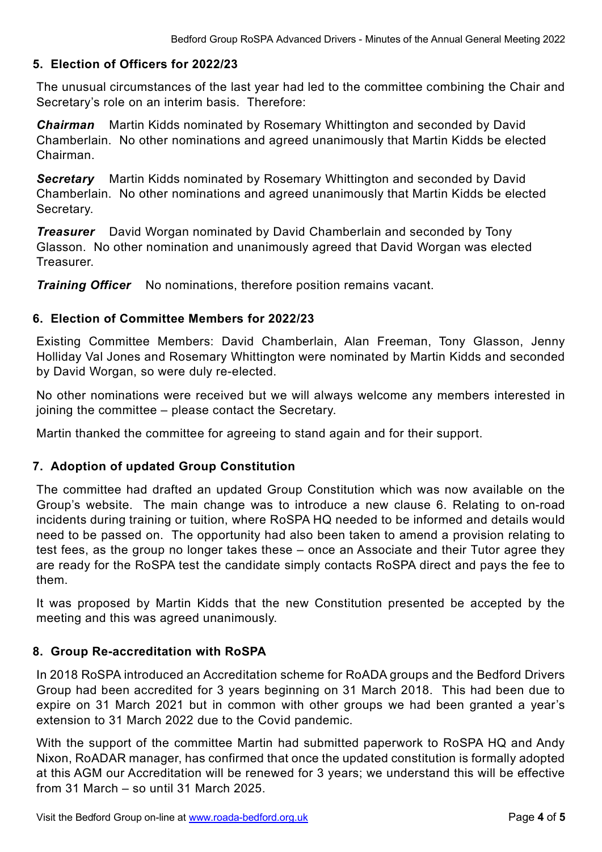# **5. Election of Officers for 2022/23**

The unusual circumstances of the last year had led to the committee combining the Chair and Secretary's role on an interim basis. Therefore:

*Chairman* Martin Kidds nominated by Rosemary Whittington and seconded by David Chamberlain. No other nominations and agreed unanimously that Martin Kidds be elected Chairman.

*Secretary* Martin Kidds nominated by Rosemary Whittington and seconded by David Chamberlain. No other nominations and agreed unanimously that Martin Kidds be elected Secretary.

*Treasurer* David Worgan nominated by David Chamberlain and seconded by Tony Glasson. No other nomination and unanimously agreed that David Worgan was elected **Treasurer.** 

*Training Officer* No nominations, therefore position remains vacant.

## **6. Election of Committee Members for 2022/23**

Existing Committee Members: David Chamberlain, Alan Freeman, Tony Glasson, Jenny Holliday Val Jones and Rosemary Whittington were nominated by Martin Kidds and seconded by David Worgan, so were duly re-elected.

No other nominations were received but we will always welcome any members interested in joining the committee – please contact the Secretary.

Martin thanked the committee for agreeing to stand again and for their support.

## **7. Adoption of updated Group Constitution**

The committee had drafted an updated Group Constitution which was now available on the Group's website. The main change was to introduce a new clause 6. Relating to on-road incidents during training or tuition, where RoSPA HQ needed to be informed and details would need to be passed on. The opportunity had also been taken to amend a provision relating to test fees, as the group no longer takes these – once an Associate and their Tutor agree they are ready for the RoSPA test the candidate simply contacts RoSPA direct and pays the fee to them.

It was proposed by Martin Kidds that the new Constitution presented be accepted by the meeting and this was agreed unanimously.

#### **8. Group Re-accreditation with RoSPA**

In 2018 RoSPA introduced an Accreditation scheme for RoADA groups and the Bedford Drivers Group had been accredited for 3 years beginning on 31 March 2018. This had been due to expire on 31 March 2021 but in common with other groups we had been granted a year's extension to 31 March 2022 due to the Covid pandemic.

With the support of the committee Martin had submitted paperwork to RoSPA HQ and Andy Nixon, RoADAR manager, has confirmed that once the updated constitution is formally adopted at this AGM our Accreditation will be renewed for 3 years; we understand this will be effective from 31 March – so until 31 March 2025.